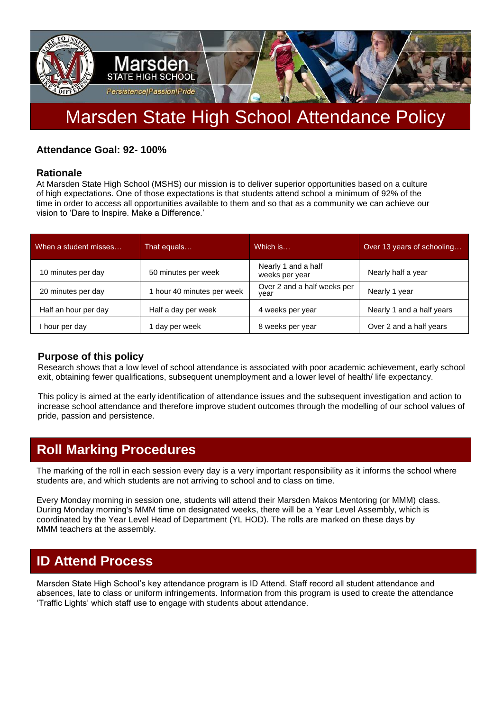

# Marsden State High School Attendance Policy

### **Attendance Goal: 92- 100%**

#### **Rationale**

At Marsden State High School (MSHS) our mission is to deliver superior opportunities based on a culture of high expectations. One of those expectations is that students attend school a minimum of 92% of the time in order to access all opportunities available to them and so that as a community we can achieve our vision to 'Dare to Inspire. Make a Difference.'

| When a student misses | That equals              | Which is                              | Over 13 years of schooling |
|-----------------------|--------------------------|---------------------------------------|----------------------------|
| 10 minutes per day    | 50 minutes per week      | Nearly 1 and a half<br>weeks per year | Nearly half a year         |
| 20 minutes per day    | hour 40 minutes per week | Over 2 and a half weeks per<br>year   | Nearly 1 year              |
| Half an hour per day  | Half a day per week      | 4 weeks per year                      | Nearly 1 and a half years  |
| hour per day          | day per week             | 8 weeks per year                      | Over 2 and a half years    |

#### **Purpose of this policy**

Research shows that a low level of school attendance is associated with poor academic achievement, early school exit, obtaining fewer qualifications, subsequent unemployment and a lower level of health/ life expectancy.

This policy is aimed at the early identification of attendance issues and the subsequent investigation and action to increase school attendance and therefore improve student outcomes through the modelling of our school values of pride, passion and persistence.

### **Roll Marking Procedures**

The marking of the roll in each session every day is a very important responsibility as it informs the school where students are, and which students are not arriving to school and to class on time.

Every Monday morning in session one, students will attend their Marsden Makos Mentoring (or MMM) class. During Monday morning's MMM time on designated weeks, there will be a Year Level Assembly, which is coordinated by the Year Level Head of Department (YL HOD). The rolls are marked on these days by MMM teachers at the assembly.

### **ID Attend Process**

Marsden State High School's key attendance program is ID Attend. Staff record all student attendance and absences, late to class or uniform infringements. Information from this program is used to create the attendance 'Traffic Lights' which staff use to engage with students about attendance.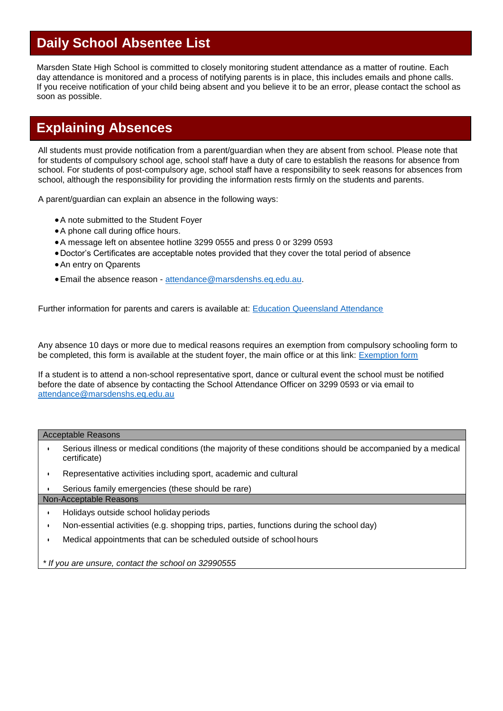### **Daily School Absentee List**

Marsden State High School is committed to closely monitoring student attendance as a matter of routine. Each day attendance is monitored and a process of notifying parents is in place, this includes emails and phone calls. If you receive notification of your child being absent and you believe it to be an error, please contact the school as soon as possible.

### **Explaining Absences**

All students must provide notification from a parent/guardian when they are absent from school. Please note that for students of compulsory school age, school staff have a duty of care to establish the reasons for absence from school. For students of post-compulsory age, school staff have a responsibility to seek reasons for absences from school, although the responsibility for providing the information rests firmly on the students and parents.

A parent/guardian can explain an absence in the following ways:

- A note submitted to the Student Foyer
- A phone call during office hours.
- A message left on absentee hotline 3299 0555 and press 0 or 3299 0593
- Doctor's Certificates are acceptable notes provided that they cover the total period of absence
- An entry on Qparents
- Email the absence reason [attendance@marsdenshs.eq.edu.au.](mailto:attendance@marsdenshs.eq.edu.au)

Further information for parents and carers is available at: [Education Queensland Attendance](https://education.qld.gov.au/initiativesstrategies/Documents/parent-fact-sheet.pdf%23search=attendance)

Any absence 10 days or more due to medical reasons requires an exemption from compulsory schooling form to be completed, this form is available at the student foyer, the main office or at this link: [Exemption form](https://marsdenshs.eq.edu.au/Supportandresources/Formsanddocuments/Documents/Miscellaneous/Application%20for%20Exemption.pdf)

If a student is to attend a non-school representative sport, dance or cultural event the school must be notified before the date of absence by contacting the School Attendance Officer on 3299 0593 or via email to [attendance@marsdenshs.eq.edu.au](mailto:attendance@marsdenshs.eq.edu.au)

#### Acceptable Reasons

- Serious illness or medical conditions (the majority of these conditions should be accompanied by a medical certificate)
- Representative activities including sport, academic and cultural
- Serious family emergencies (these should be rare)

#### Non-Acceptable Reasons

- Holidays outside school holiday periods
- Non-essential activities (e.g. shopping trips, parties, functions during the school day)
- Medical appointments that can be scheduled outside of school hours

*\* If you are unsure, contact the school on 32990555*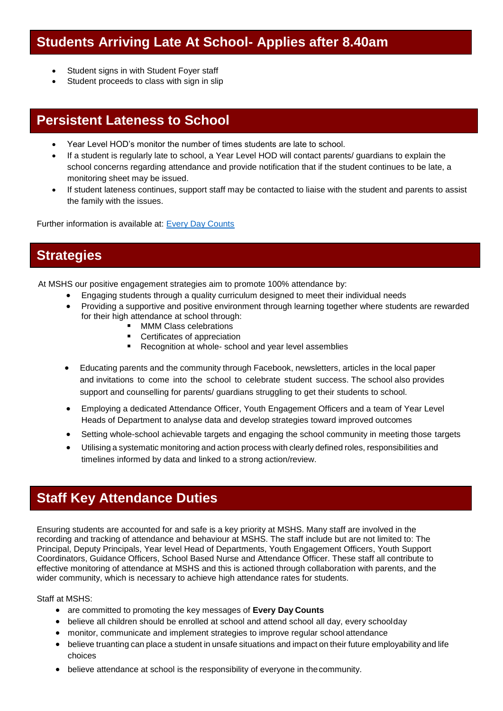### **Students Arriving Late At School- Applies after 8.40am**

- Student signs in with Student Foyer staff
- Student proceeds to class with sign in slip

### **Persistent Lateness to School**

- Year Level HOD's monitor the number of times students are late to school.
- If a student is regularly late to school, a Year Level HOD will contact parents/ guardians to explain the school concerns regarding attendance and provide notification that if the student continues to be late, a monitoring sheet may be issued.
- If student lateness continues, support staff may be contacted to liaise with the student and parents to assist the family with the issues.

Further information is available at: [Every Day Counts](https://education.qld.gov.au/initiatives-and-strategies/initiatives/every-day-counts)

### **Strategies**

At MSHS our positive engagement strategies aim to promote 100% attendance by:

- Engaging students through a quality curriculum designed to meet their individual needs
- Providing a supportive and positive environment through learning together where students are rewarded for their high attendance at school through:
	- **MMM Class celebrations**
	- Certificates of appreciation
	- Recognition at whole- school and year level assemblies
- Educating parents and the community through Facebook, newsletters, articles in the local paper and invitations to come into the school to celebrate student success. The school also provides support and counselling for parents/ guardians struggling to get their students to school.
- Employing a dedicated Attendance Officer, Youth Engagement Officers and a team of Year Level Heads of Department to analyse data and develop strategies toward improved outcomes
- Setting whole-school achievable targets and engaging the school community in meeting those targets
- Utilising a systematic monitoring and action process with clearly defined roles, responsibilities and timelines informed by data and linked to a strong action/review.

### **Staff Key Attendance Duties**

Ensuring students are accounted for and safe is a key priority at MSHS. Many staff are involved in the recording and tracking of attendance and behaviour at MSHS. The staff include but are not limited to: The Principal, Deputy Principals, Year level Head of Departments, Youth Engagement Officers, Youth Support Coordinators, Guidance Officers, School Based Nurse and Attendance Officer. These staff all contribute to effective monitoring of attendance at MSHS and this is actioned through collaboration with parents, and the wider community, which is necessary to achieve high attendance rates for students.

Staff at MSHS:

- are committed to promoting the key messages of **Every Day Counts**
- believe all children should be enrolled at school and attend school all day, every schoolday
- monitor, communicate and implement strategies to improve regular school attendance
- believe truanting can place a student in unsafe situations and impact on their future employability and life choices
- believe attendance at school is the responsibility of everyone in thecommunity.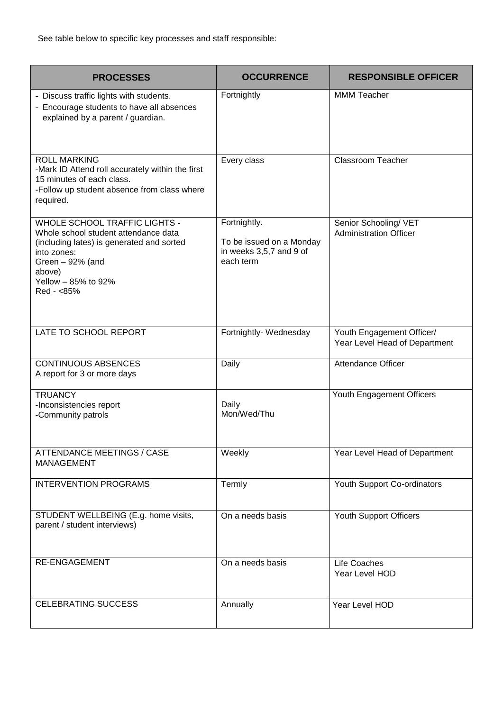| <b>PROCESSES</b>                                                                                                                                                                                             | <b>OCCURRENCE</b>                                                                | <b>RESPONSIBLE OFFICER</b>                                 |
|--------------------------------------------------------------------------------------------------------------------------------------------------------------------------------------------------------------|----------------------------------------------------------------------------------|------------------------------------------------------------|
| - Discuss traffic lights with students.<br>- Encourage students to have all absences<br>explained by a parent / guardian.                                                                                    | Fortnightly                                                                      | <b>MMM Teacher</b>                                         |
| <b>ROLL MARKING</b><br>-Mark ID Attend roll accurately within the first<br>15 minutes of each class.<br>-Follow up student absence from class where<br>required.                                             | Every class                                                                      | <b>Classroom Teacher</b>                                   |
| <b>WHOLE SCHOOL TRAFFIC LIGHTS -</b><br>Whole school student attendance data<br>(including lates) is generated and sorted<br>into zones:<br>Green $-92%$ (and<br>above)<br>Yellow - 85% to 92%<br>Red - <85% | Fortnightly.<br>To be issued on a Monday<br>in weeks 3,5,7 and 9 of<br>each term | Senior Schooling/ VET<br><b>Administration Officer</b>     |
| LATE TO SCHOOL REPORT                                                                                                                                                                                        | Fortnightly- Wednesday                                                           | Youth Engagement Officer/<br>Year Level Head of Department |
| <b>CONTINUOUS ABSENCES</b><br>A report for 3 or more days                                                                                                                                                    | Daily                                                                            | <b>Attendance Officer</b>                                  |
| <b>TRUANCY</b><br>-Inconsistencies report<br>-Community patrols                                                                                                                                              | Daily<br>Mon/Wed/Thu                                                             | Youth Engagement Officers                                  |
| <b>ATTENDANCE MEETINGS / CASE</b><br><b>MANAGEMENT</b>                                                                                                                                                       | Weekly                                                                           | Year Level Head of Department                              |
| <b>INTERVENTION PROGRAMS</b>                                                                                                                                                                                 | Termly                                                                           | Youth Support Co-ordinators                                |
| STUDENT WELLBEING (E.g. home visits,<br>parent / student interviews)                                                                                                                                         | On a needs basis                                                                 | Youth Support Officers                                     |
| <b>RE-ENGAGEMENT</b>                                                                                                                                                                                         | On a needs basis                                                                 | Life Coaches<br>Year Level HOD                             |
| <b>CELEBRATING SUCCESS</b>                                                                                                                                                                                   | Annually                                                                         | Year Level HOD                                             |